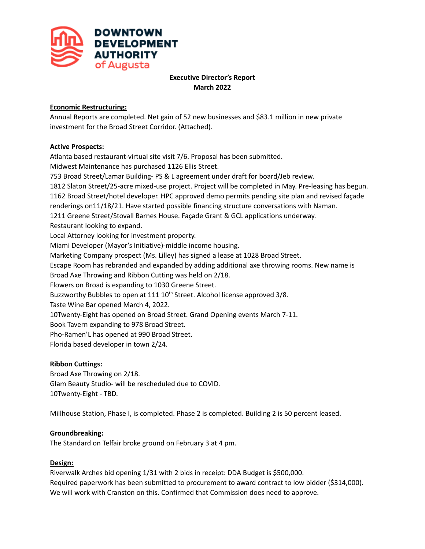

# **Executive Director's Report March 2022**

## **Economic Restructuring:**

Annual Reports are completed. Net gain of 52 new businesses and \$83.1 million in new private investment for the Broad Street Corridor. (Attached).

### **Active Prospects:**

Atlanta based restaurant-virtual site visit 7/6. Proposal has been submitted. Midwest Maintenance has purchased 1126 Ellis Street. 753 Broad Street/Lamar Building- PS & L agreement under draft for board/Jeb review. 1812 Slaton Street/25-acre mixed-use project. Project will be completed in May. Pre-leasing has begun. 1162 Broad Street/hotel developer. HPC approved demo permits pending site plan and revised façade renderings on11/18/21. Have started possible financing structure conversations with Naman. 1211 Greene Street/Stovall Barnes House. Façade Grant & GCL applications underway. Restaurant looking to expand. Local Attorney looking for investment property. Miami Developer (Mayor's Initiative)-middle income housing. Marketing Company prospect (Ms. Lilley) has signed a lease at 1028 Broad Street. Escape Room has rebranded and expanded by adding additional axe throwing rooms. New name is Broad Axe Throwing and Ribbon Cutting was held on 2/18. Flowers on Broad is expanding to 1030 Greene Street. Buzzworthy Bubbles to open at 111 10<sup>th</sup> Street. Alcohol license approved 3/8. Taste Wine Bar opened March 4, 2022. 10Twenty-Eight has opened on Broad Street. Grand Opening events March 7-11. Book Tavern expanding to 978 Broad Street. Pho-Ramen'L has opened at 990 Broad Street. Florida based developer in town 2/24.

# **Ribbon Cuttings:**

Broad Axe Throwing on 2/18. Glam Beauty Studio- will be rescheduled due to COVID. 10Twenty-Eight - TBD.

Millhouse Station, Phase I, is completed. Phase 2 is completed. Building 2 is 50 percent leased.

### **Groundbreaking:**

The Standard on Telfair broke ground on February 3 at 4 pm.

### **Design:**

Riverwalk Arches bid opening 1/31 with 2 bids in receipt: DDA Budget is \$500,000. Required paperwork has been submitted to procurement to award contract to low bidder (\$314,000). We will work with Cranston on this. Confirmed that Commission does need to approve.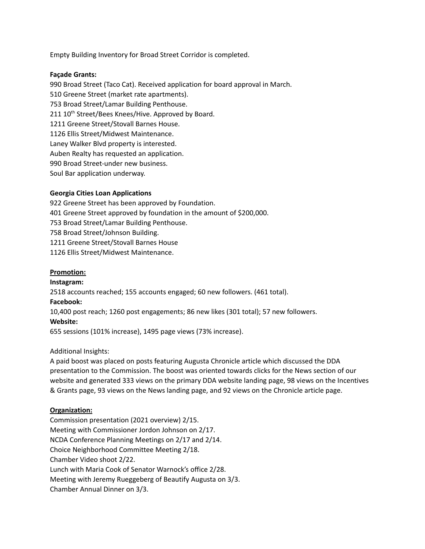Empty Building Inventory for Broad Street Corridor is completed.

### **Façade Grants:**

990 Broad Street (Taco Cat). Received application for board approval in March. 510 Greene Street (market rate apartments). 753 Broad Street/Lamar Building Penthouse. 211 10<sup>th</sup> Street/Bees Knees/Hive. Approved by Board. 1211 Greene Street/Stovall Barnes House. 1126 Ellis Street/Midwest Maintenance. Laney Walker Blvd property is interested. Auben Realty has requested an application. 990 Broad Street-under new business. Soul Bar application underway.

### **Georgia Cities Loan Applications**

 Greene Street has been approved by Foundation. Greene Street approved by foundation in the amount of \$200,000. Broad Street/Lamar Building Penthouse. Broad Street/Johnson Building. Greene Street/Stovall Barnes House Ellis Street/Midwest Maintenance.

### **Promotion:**

### **Instagram:**

2518 accounts reached; 155 accounts engaged; 60 new followers. (461 total).

### **Facebook:**

10,400 post reach; 1260 post engagements; 86 new likes (301 total); 57 new followers.

### **Website:**

655 sessions (101% increase), 1495 page views (73% increase).

### Additional Insights:

A paid boost was placed on posts featuring Augusta Chronicle article which discussed the DDA presentation to the Commission. The boost was oriented towards clicks for the News section of our website and generated 333 views on the primary DDA website landing page, 98 views on the Incentives & Grants page, 93 views on the News landing page, and 92 views on the Chronicle article page.

### **Organization:**

Commission presentation (2021 overview) 2/15. Meeting with Commissioner Jordon Johnson on 2/17. NCDA Conference Planning Meetings on 2/17 and 2/14. Choice Neighborhood Committee Meeting 2/18. Chamber Video shoot 2/22. Lunch with Maria Cook of Senator Warnock's office 2/28. Meeting with Jeremy Rueggeberg of Beautify Augusta on 3/3. Chamber Annual Dinner on 3/3.